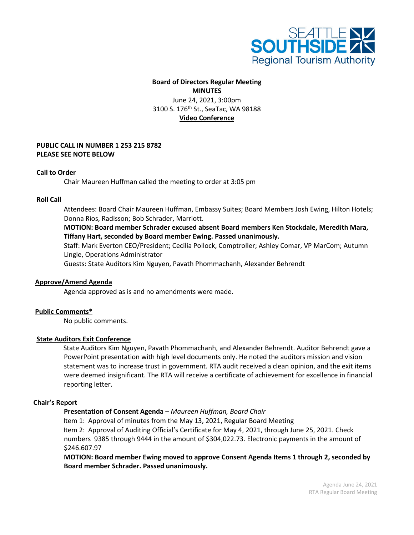

# **Board of Directors Regular Meeting MINUTES** June 24, 2021, 3:00pm 3100 S. 176<sup>th</sup> St., SeaTac, WA 98188 **Video Conference**

# **PUBLIC CALL IN NUMBER 1 253 215 8782 PLEASE SEE NOTE BELOW**

# **Call to Order**

Chair Maureen Huffman called the meeting to order at 3:05 pm

### **Roll Call**

 Attendees: Board Chair Maureen Huffman, Embassy Suites; Board Members Josh Ewing, Hilton Hotels; Donna Rios, Radisson; Bob Schrader, Marriott.

# **MOTION: Board member Schrader excused absent Board members Ken Stockdale, Meredith Mara, Tiffany Hart, seconded by Board member Ewing. Passed unanimously.**

Staff: Mark Everton CEO/President; Cecilia Pollock, Comptroller; Ashley Comar, VP MarCom; Autumn Lingle, Operations Administrator

Guests: State Auditors Kim Nguyen, Pavath Phommachanh, Alexander Behrendt

### **Approve/Amend Agenda**

Agenda approved as is and no amendments were made.

### **Public Comments\***

No public comments.

### **State Auditors Exit Conference**

State Auditors Kim Nguyen, Pavath Phommachanh, and Alexander Behrendt. Auditor Behrendt gave a PowerPoint presentation with high level documents only. He noted the auditors mission and vision statement was to increase trust in government. RTA audit received a clean opinion, and the exit items were deemed insignificant. The RTA will receive a certificate of achievement for excellence in financial reporting letter.

#### **Chair's Report**

# **Presentation of Consent Agenda** *– Maureen Huffman, Board Chair*

 Item 1: Approval of minutes from the May 13, 2021, Regular Board Meeting Item 2: Approval of Auditing Official's Certificate for May 4, 2021, through June 25, 2021. Check numbers 9385 through 9444 in the amount of \$304,022.73. Electronic payments in the amount of \$246.607.97

**MOTION: Board member Ewing moved to approve Consent Agenda Items 1 through 2, seconded by Board member Schrader. Passed unanimously.**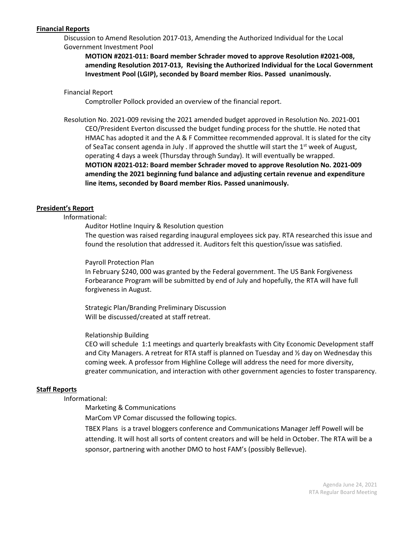# **Financial Reports**

Discussion to Amend Resolution 2017-013, Amending the Authorized Individual for the Local Government Investment Pool

**MOTION #2021-011: Board member Schrader moved to approve Resolution #2021-008, amending Resolution 2017-013, Revising the Authorized Individual for the Local Government Investment Pool (LGIP), seconded by Board member Rios. Passed unanimously.**

### Financial Report

Comptroller Pollock provided an overview of the financial report.

Resolution No. 2021-009 revising the 2021 amended budget approved in Resolution No. 2021-001 CEO/President Everton discussed the budget funding process for the shuttle. He noted that HMAC has adopted it and the A & F Committee recommended approval. It is slated for the city of SeaTac consent agenda in July . If approved the shuttle will start the  $1<sup>st</sup>$  week of August, operating 4 days a week (Thursday through Sunday). It will eventually be wrapped. **MOTION #2021-012: Board member Schrader moved to approve Resolution No. 2021-009 amending the 2021 beginning fund balance and adjusting certain revenue and expenditure line items, seconded by Board member Rios. Passed unanimously.**

# **President's Report**

# Informational:

Auditor Hotline Inquiry & Resolution question

The question was raised regarding inaugural employees sick pay. RTA researched this issue and found the resolution that addressed it. Auditors felt this question/issue was satisfied.

### Payroll Protection Plan

In February \$240, 000 was granted by the Federal government. The US Bank Forgiveness Forbearance Program will be submitted by end of July and hopefully, the RTA will have full forgiveness in August.

Strategic Plan/Branding Preliminary Discussion Will be discussed/created at staff retreat.

### Relationship Building

CEO will schedule 1:1 meetings and quarterly breakfasts with City Economic Development staff and City Managers. A retreat for RTA staff is planned on Tuesday and ½ day on Wednesday this coming week. A professor from Highline College will address the need for more diversity, greater communication, and interaction with other government agencies to foster transparency.

### **Staff Reports**

Informational:

Marketing & Communications

MarCom VP Comar discussed the following topics.

TBEX Plans is a travel bloggers conference and Communications Manager Jeff Powell will be attending. It will host all sorts of content creators and will be held in October. The RTA will be a sponsor, partnering with another DMO to host FAM's (possibly Bellevue).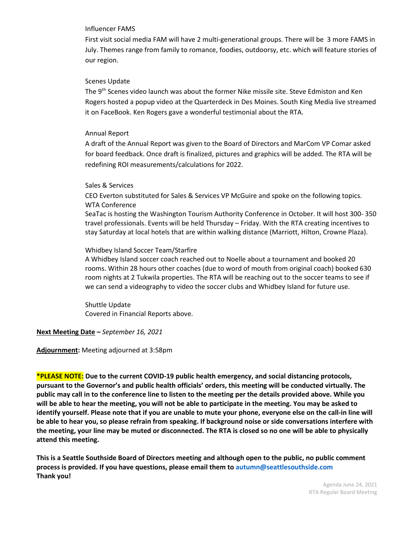### Influencer FAMS

First visit social media FAM will have 2 multi-generational groups. There will be 3 more FAMS in July. Themes range from family to romance, foodies, outdoorsy, etc. which will feature stories of our region.

# Scenes Update

The 9<sup>th</sup> Scenes video launch was about the former Nike missile site. Steve Edmiston and Ken Rogers hosted a popup video at the Quarterdeck in Des Moines. South King Media live streamed it on FaceBook. Ken Rogers gave a wonderful testimonial about the RTA.

# Annual Report

A draft of the Annual Report was given to the Board of Directors and MarCom VP Comar asked for board feedback. Once draft is finalized, pictures and graphics will be added. The RTA will be redefining ROI measurements/calculations for 2022.

# Sales & Services

CEO Everton substituted for Sales & Services VP McGuire and spoke on the following topics. WTA Conference

SeaTac is hosting the Washington Tourism Authority Conference in October. It will host 300- 350 travel professionals. Events will be held Thursday – Friday. With the RTA creating incentives to stay Saturday at local hotels that are within walking distance (Marriott, Hilton, Crowne Plaza).

# Whidbey Island Soccer Team/Starfire

A Whidbey Island soccer coach reached out to Noelle about a tournament and booked 20 rooms. Within 28 hours other coaches (due to word of mouth from original coach) booked 630 room nights at 2 Tukwila properties. The RTA will be reaching out to the soccer teams to see if we can send a videography to video the soccer clubs and Whidbey Island for future use.

Shuttle Update Covered in Financial Reports above.

**Next Meeting Date –** *September 16, 2021*

**Adjournment:** Meeting adjourned at 3:58pm

**\*PLEASE NOTE: Due to the current COVID-19 public health emergency, and social distancing protocols, pursuant to the Governor's and public health officials' orders, this meeting will be conducted virtually. The public may call in to the conference line to listen to the meeting per the details provided above. While you will be able to hear the meeting, you will not be able to participate in the meeting. You may be asked to identify yourself. Please note that if you are unable to mute your phone, everyone else on the call-in line will be able to hear you, so please refrain from speaking. If background noise or side conversations interfere with the meeting, your line may be muted or disconnected. The RTA is closed so no one will be able to physically attend this meeting.** 

**This is a Seattle Southside Board of Directors meeting and although open to the public, no public comment process is provided. If you have questions, please email them to autumn@seattlesouthside.com Thank you!**